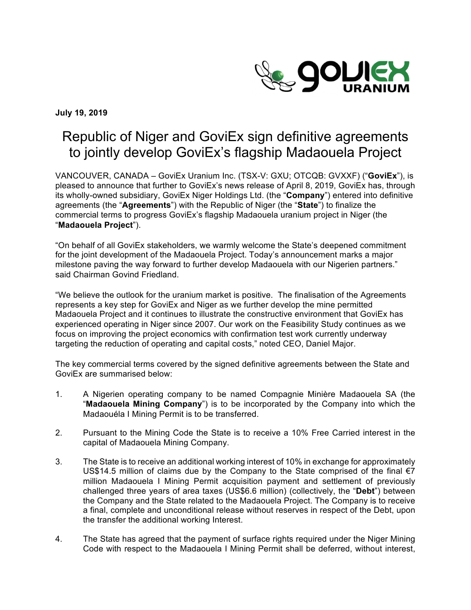

**July 19, 2019**

# Republic of Niger and GoviEx sign definitive agreements to jointly develop GoviEx's flagship Madaouela Project

VANCOUVER, CANADA – GoviEx Uranium Inc. (TSX-V: GXU; OTCQB: GVXXF) ("**GoviEx**"), is pleased to announce that further to GoviEx's news release of April 8, 2019, GoviEx has, through its wholly-owned subsidiary, GoviEx Niger Holdings Ltd. (the "**Company**") entered into definitive agreements (the "**Agreements**") with the Republic of Niger (the "**State**") to finalize the commercial terms to progress GoviEx's flagship Madaouela uranium project in Niger (the "**Madaouela Project**").

"On behalf of all GoviEx stakeholders, we warmly welcome the State's deepened commitment for the joint development of the Madaouela Project. Today's announcement marks a major milestone paving the way forward to further develop Madaouela with our Nigerien partners." said Chairman Govind Friedland.

"We believe the outlook for the uranium market is positive. The finalisation of the Agreements represents a key step for GoviEx and Niger as we further develop the mine permitted Madaouela Project and it continues to illustrate the constructive environment that GoviEx has experienced operating in Niger since 2007. Our work on the Feasibility Study continues as we focus on improving the project economics with confirmation test work currently underway targeting the reduction of operating and capital costs," noted CEO, Daniel Major.

The key commercial terms covered by the signed definitive agreements between the State and GoviEx are summarised below:

- 1. A Nigerien operating company to be named Compagnie Minière Madaouela SA (the "**Madaouela Mining Company**") is to be incorporated by the Company into which the Madaouéla I Mining Permit is to be transferred.
- 2. Pursuant to the Mining Code the State is to receive a 10% Free Carried interest in the capital of Madaouela Mining Company.
- 3. The State is to receive an additional working interest of 10% in exchange for approximately US\$14.5 million of claims due by the Company to the State comprised of the final  $\epsilon$ 7 million Madaouela I Mining Permit acquisition payment and settlement of previously challenged three years of area taxes (US\$6.6 million) (collectively, the "**Debt**") between the Company and the State related to the Madaouela Project. The Company is to receive a final, complete and unconditional release without reserves in respect of the Debt, upon the transfer the additional working Interest.
- 4. The State has agreed that the payment of surface rights required under the Niger Mining Code with respect to the Madaouela I Mining Permit shall be deferred, without interest,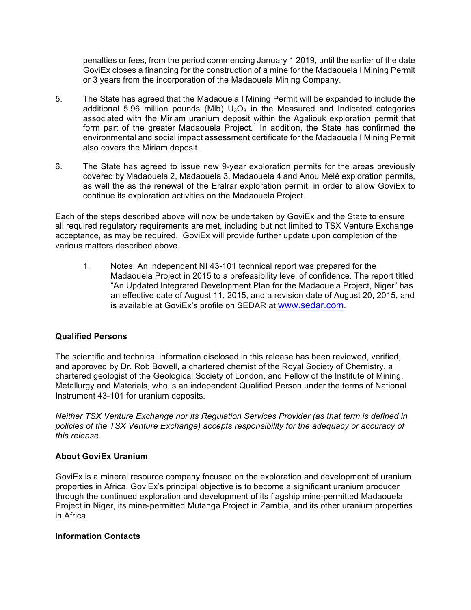penalties or fees, from the period commencing January 1 2019, until the earlier of the date GoviEx closes a financing for the construction of a mine for the Madaouela I Mining Permit or 3 years from the incorporation of the Madaouela Mining Company.

- 5. The State has agreed that the Madaouela I Mining Permit will be expanded to include the additional 5.96 million pounds (MIb)  $U_3O_8$  in the Measured and Indicated categories associated with the Miriam uranium deposit within the Agaliouk exploration permit that form part of the greater Madaouela Project.<sup>1</sup> In addition, the State has confirmed the environmental and social impact assessment certificate for the Madaouela I Mining Permit also covers the Miriam deposit.
- 6. The State has agreed to issue new 9-year exploration permits for the areas previously covered by Madaouela 2, Madaouela 3, Madaouela 4 and Anou Mélé exploration permits, as well the as the renewal of the Eralrar exploration permit, in order to allow GoviEx to continue its exploration activities on the Madaouela Project.

Each of the steps described above will now be undertaken by GoviEx and the State to ensure all required regulatory requirements are met, including but not limited to TSX Venture Exchange acceptance, as may be required. GoviEx will provide further update upon completion of the various matters described above.

1. Notes: An independent NI 43-101 technical report was prepared for the Madaouela Project in 2015 to a prefeasibility level of confidence. The report titled "An Updated Integrated Development Plan for the Madaouela Project, Niger" has an effective date of August 11, 2015, and a revision date of August 20, 2015, and is available at GoviEx's profile on SEDAR at www.sedar.com.

## **Qualified Persons**

The scientific and technical information disclosed in this release has been reviewed, verified, and approved by Dr. Rob Bowell, a chartered chemist of the Royal Society of Chemistry, a chartered geologist of the Geological Society of London, and Fellow of the Institute of Mining, Metallurgy and Materials, who is an independent Qualified Person under the terms of National Instrument 43-101 for uranium deposits.

*Neither TSX Venture Exchange nor its Regulation Services Provider (as that term is defined in policies of the TSX Venture Exchange) accepts responsibility for the adequacy or accuracy of this release.* 

## **About GoviEx Uranium**

GoviEx is a mineral resource company focused on the exploration and development of uranium properties in Africa. GoviEx's principal objective is to become a significant uranium producer through the continued exploration and development of its flagship mine-permitted Madaouela Project in Niger, its mine-permitted Mutanga Project in Zambia, and its other uranium properties in Africa.

#### **Information Contacts**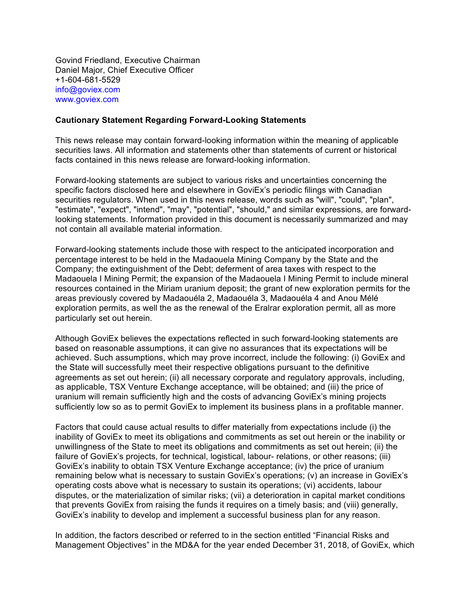Govind Friedland, Executive Chairman Daniel Major, Chief Executive Officer +1-604-681-5529 info@goviex.com www.goviex.com

#### **Cautionary Statement Regarding Forward-Looking Statements**

This news release may contain forward-looking information within the meaning of applicable securities laws. All information and statements other than statements of current or historical facts contained in this news release are forward-looking information.

Forward-looking statements are subject to various risks and uncertainties concerning the specific factors disclosed here and elsewhere in GoviEx's periodic filings with Canadian securities regulators. When used in this news release, words such as "will", "could", "plan", "estimate", "expect", "intend", "may", "potential", "should," and similar expressions, are forwardlooking statements. Information provided in this document is necessarily summarized and may not contain all available material information.

Forward-looking statements include those with respect to the anticipated incorporation and percentage interest to be held in the Madaouela Mining Company by the State and the Company; the extinguishment of the Debt; deferment of area taxes with respect to the Madaouela I Mining Permit; the expansion of the Madaouela I Mining Permit to include mineral resources contained in the Miriam uranium deposit; the grant of new exploration permits for the areas previously covered by Madaouéla 2, Madaouéla 3, Madaouéla 4 and Anou Mélé exploration permits, as well the as the renewal of the Eralrar exploration permit, all as more particularly set out herein.

Although GoviEx believes the expectations reflected in such forward-looking statements are based on reasonable assumptions, it can give no assurances that its expectations will be achieved. Such assumptions, which may prove incorrect, include the following: (i) GoviEx and the State will successfully meet their respective obligations pursuant to the definitive agreements as set out herein; (ii) all necessary corporate and regulatory approvals, including, as applicable, TSX Venture Exchange acceptance, will be obtained; and (iii) the price of uranium will remain sufficiently high and the costs of advancing GoviEx's mining projects sufficiently low so as to permit GoviEx to implement its business plans in a profitable manner.

Factors that could cause actual results to differ materially from expectations include (i) the inability of GoviEx to meet its obligations and commitments as set out herein or the inability or unwillingness of the State to meet its obligations and commitments as set out herein; (ii) the failure of GoviEx's projects, for technical, logistical, labour- relations, or other reasons; (iii) GoviEx's inability to obtain TSX Venture Exchange acceptance; (iv) the price of uranium remaining below what is necessary to sustain GoviEx's operations; (v) an increase in GoviEx's operating costs above what is necessary to sustain its operations; (vi) accidents, labour disputes, or the materialization of similar risks; (vii) a deterioration in capital market conditions that prevents GoviEx from raising the funds it requires on a timely basis; and (viii) generally, GoviEx's inability to develop and implement a successful business plan for any reason.

In addition, the factors described or referred to in the section entitled "Financial Risks and Management Objectives" in the MD&A for the year ended December 31, 2018, of GoviEx, which